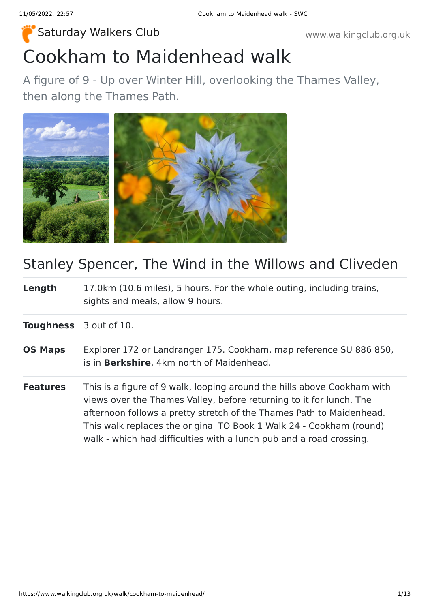# Cookham to Maidenhead walk [Saturday Walkers Club](https://www.walkingclub.org.uk/) **Walkers Club www.walkingclub.org.uk**

A figure of 9 - Up over Winter Hill, overlooking the Thames Valley, then along the Thames Path.



## Stanley Spencer, The Wind in the Willows and Cliveden

**Length** 17.0km (10.6 miles), 5 hours. For the whole outing, including trains, sights and meals, allow 9 hours.

**Toughness** 3 out of 10.

- **OS Maps** Explorer 172 or Landranger 175. Cookham, map reference SU 886 850, is in **Berkshire**, 4km north of Maidenhead.
- **Features** This is a figure of 9 walk, looping around the hills above Cookham with views over the Thames Valley, before returning to it for lunch. The afternoon follows a pretty stretch of the Thames Path to Maidenhead. This walk replaces the original TO Book 1 Walk 24 - Cookham (round) walk - which had difficulties with a lunch pub and a road crossing.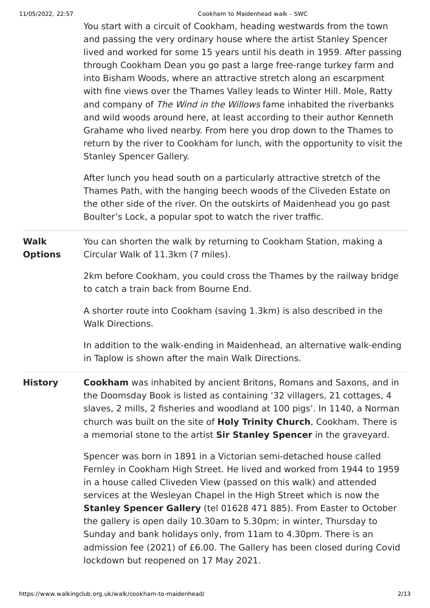#### 11/05/2022, 22:57 Cookham to Maidenhead walk - SWC

You start with a circuit of Cookham, heading westwards from the town and passing the very ordinary house where the artist Stanley Spencer lived and worked for some 15 years until his death in 1959. After passing through Cookham Dean you go past a large free-range turkey farm and into Bisham Woods, where an attractive stretch along an escarpment with fine views over the Thames Valley leads to Winter Hill. Mole, Ratty and company of The Wind in the Willows fame inhabited the riverbanks and wild woods around here, at least according to their author Kenneth Grahame who lived nearby. From here you drop down to the Thames to return by the river to Cookham for lunch, with the opportunity to visit the Stanley Spencer Gallery.

After lunch you head south on a particularly attractive stretch of the Thames Path, with the hanging beech woods of the Cliveden Estate on the other side of the river. On the outskirts of Maidenhead you go past Boulter's Lock, a popular spot to watch the river traffic.

**Walk Options** You can shorten the walk by returning to Cookham Station, making a Circular Walk of 11.3km (7 miles).

> 2km before Cookham, you could cross the Thames by the railway bridge to catch a train back from Bourne End.

A shorter route into Cookham (saving 1.3km) is also described in the Walk Directions.

In addition to the walk-ending in Maidenhead, an alternative walk-ending in Taplow is shown after the main Walk Directions.

**History Cookham** was inhabited by ancient Britons, Romans and Saxons, and in the Doomsday Book is listed as containing '32 villagers, 21 cottages, 4 slaves, 2 mills, 2 fisheries and woodland at 100 pigs'. In 1140, a Norman church was built on the site of **Holy Trinity Church**, Cookham. There is a memorial stone to the artist **Sir Stanley Spencer** in the graveyard.

> Spencer was born in 1891 in a Victorian semi-detached house called Fernley in Cookham High Street. He lived and worked from 1944 to 1959 in a house called Cliveden View (passed on this walk) and attended services at the Wesleyan Chapel in the High Street which is now the **Stanley Spencer Gallery** (tel 01628 471 885). From Easter to October the gallery is open daily 10.30am to 5.30pm; in winter, Thursday to Sunday and bank holidays only, from 11am to 4.30pm. There is an admission fee (2021) of £6.00. The Gallery has been closed during Covid lockdown but reopened on 17 May 2021.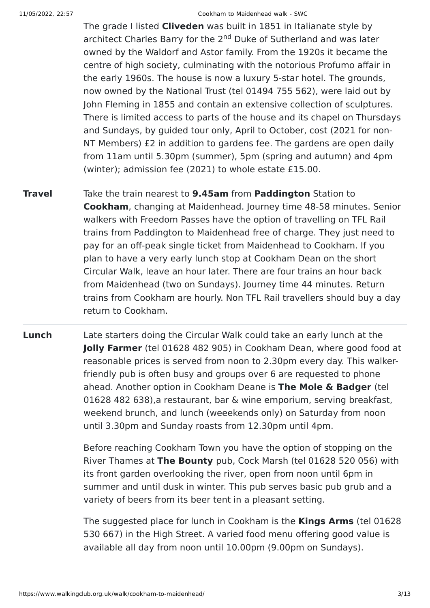#### 11/05/2022, 22:57 Cookham to Maidenhead walk - SWC

The grade I listed **Cliveden** was built in 1851 in Italianate style by architect Charles Barry for the 2<sup>nd</sup> Duke of Sutherland and was later owned by the Waldorf and Astor family. From the 1920s it became the centre of high society, culminating with the notorious Profumo affair in the early 1960s. The house is now a luxury 5-star hotel. The grounds, now owned by the National Trust (tel 01494 755 562), were laid out by John Fleming in 1855 and contain an extensive collection of sculptures. There is limited access to parts of the house and its chapel on Thursdays and Sundays, by guided tour only, April to October, cost (2021 for non-NT Members) £2 in addition to gardens fee. The gardens are open daily from 11am until 5.30pm (summer), 5pm (spring and autumn) and 4pm (winter); admission fee (2021) to whole estate £15.00.

- **Travel** Take the train nearest to **9.45am** from **Paddington** Station to **Cookham**, changing at Maidenhead. Journey time 48-58 minutes. Senior walkers with Freedom Passes have the option of travelling on TFL Rail trains from Paddington to Maidenhead free of charge. They just need to pay for an off-peak single ticket from Maidenhead to Cookham. If you plan to have a very early lunch stop at Cookham Dean on the short Circular Walk, leave an hour later. There are four trains an hour back from Maidenhead (two on Sundays). Journey time 44 minutes. Return trains from Cookham are hourly. Non TFL Rail travellers should buy a day return to Cookham.
- **Lunch** Late starters doing the Circular Walk could take an early lunch at the **Jolly Farmer** (tel 01628 482 905) in Cookham Dean, where good food at reasonable prices is served from noon to 2.30pm every day. This walkerfriendly pub is often busy and groups over 6 are requested to phone ahead. Another option in Cookham Deane is **The Mole & Badger** (tel 01628 482 638),a restaurant, bar & wine emporium, serving breakfast, weekend brunch, and lunch (weeekends only) on Saturday from noon until 3.30pm and Sunday roasts from 12.30pm until 4pm.

Before reaching Cookham Town you have the option of stopping on the River Thames at **The Bounty** pub, Cock Marsh (tel 01628 520 056) with its front garden overlooking the river, open from noon until 6pm in summer and until dusk in winter. This pub serves basic pub grub and a variety of beers from its beer tent in a pleasant setting.

The suggested place for lunch in Cookham is the **Kings Arms** (tel 01628 530 667) in the High Street. A varied food menu offering good value is available all day from noon until 10.00pm (9.00pm on Sundays).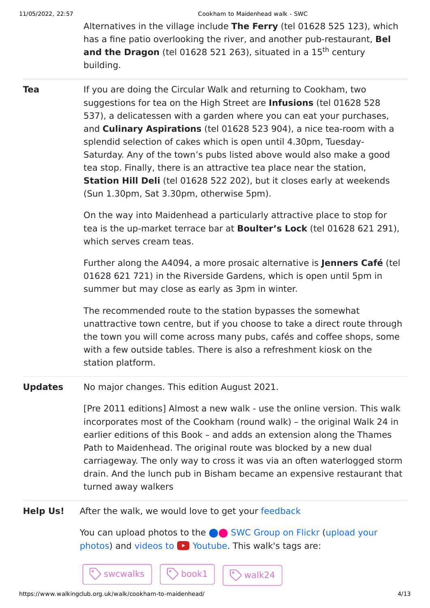Alternatives in the village include **The Ferry** (tel 01628 525 123), which has a fine patio overlooking the river, and another pub-restaurant, **Bel** and the Dragon (tel 01628 521 263), situated in a 15<sup>th</sup> century building.

**Tea** If you are doing the Circular Walk and returning to Cookham, two suggestions for tea on the High Street are **Infusions** (tel 01628 528 537), a delicatessen with a garden where you can eat your purchases, and **Culinary Aspirations** (tel 01628 523 904), a nice tea-room with a splendid selection of cakes which is open until 4.30pm, Tuesday-Saturday. Any of the town's pubs listed above would also make a good tea stop. Finally, there is an attractive tea place near the station, **Station Hill Deli** (tel 01628 522 202), but it closes early at weekends (Sun 1.30pm, Sat 3.30pm, otherwise 5pm).

> On the way into Maidenhead a particularly attractive place to stop for tea is the up-market terrace bar at **Boulter's Lock** (tel 01628 621 291), which serves cream teas.

> Further along the A4094, a more prosaic alternative is **Jenners Café** (tel 01628 621 721) in the Riverside Gardens, which is open until 5pm in summer but may close as early as 3pm in winter.

> The recommended route to the station bypasses the somewhat unattractive town centre, but if you choose to take a direct route through the town you will come across many pubs, cafés and coffee shops, some with a few outside tables. There is also a refreshment kiosk on the station platform.

**Updates** No major changes. This edition August 2021.

[Pre 2011 editions] Almost a new walk - use the online version. This walk incorporates most of the Cookham (round walk) – the original Walk 24 in earlier editions of this Book – and adds an extension along the Thames Path to Maidenhead. The original route was blocked by a new dual carriageway. The only way to cross it was via an often waterlogged storm drain. And the lunch pub in Bisham became an expensive restaurant that turned away walkers

**Help Us!** After the walk, we would love to get your [feedback](https://www.walkingclub.org.uk/walk/cookham-to-maidenhead/comments.html)

 $\cdot$  swcwalks  $|\hspace{.1cm}|\hspace{.1cm} \hat{\mathcal{C}}\hspace{.1cm}\rangle$  book $1\hspace{.1cm}|\hspace{.1cm}|\hspace{.1cm} \hat{\mathcal{C}}\hspace{.1cm}\rangle$  walk24

You can upload photos to the **extended** [SWC Group on Flickr](http://www.flickr.com/groups/swc) (upload your photos) and videos to  $\blacktriangleright$  Youtube. This walk's tags are: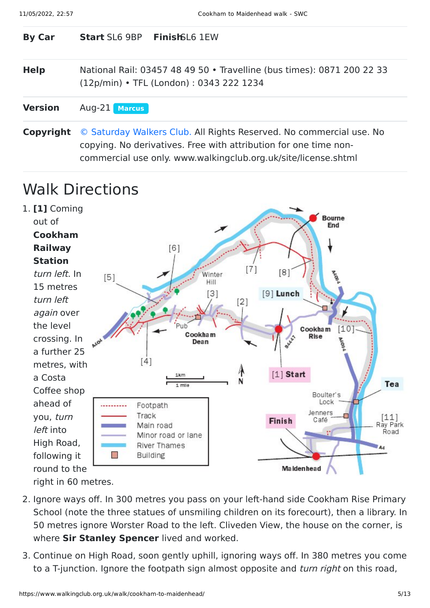| <b>By Car</b>  | <b>Start SL6 9BP Finish SL6 1EW</b>                                                                                                     |  |
|----------------|-----------------------------------------------------------------------------------------------------------------------------------------|--|
| <b>Help</b>    | National Rail: 03457 48 49 50 • Travelline (bus times): 0871 200 22 33<br>(12p/min) • TFL (London): 0343 222 1234                       |  |
| <b>Version</b> | Aug-21 Marcus                                                                                                                           |  |
| Copyright      | © Saturday Walkers Club. All Rights Reserved. No commercial use. No<br>copying. No derivatives. Free with attribution for one time non- |  |

commercial use only. www.walkingclub.org.uk/site/license.shtml

## Walk Directions



- 2. Ignore ways off. In 300 metres you pass on your left-hand side Cookham Rise Primary School (note the three statues of unsmiling children on its forecourt), then a library. In 50 metres ignore Worster Road to the left. Cliveden View, the house on the corner, is where **Sir Stanley Spencer** lived and worked.
- 3. Continue on High Road, soon gently uphill, ignoring ways off. In 380 metres you come to a T-junction. Ignore the footpath sign almost opposite and *turn right* on this road,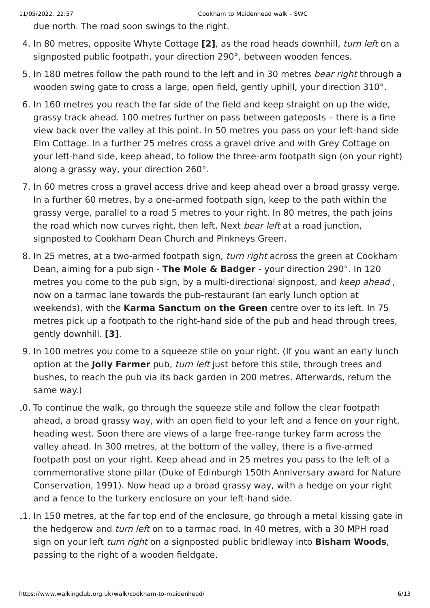due north. The road soon swings to the right.

- 4. In 80 metres, opposite Whyte Cottage **[2]**, as the road heads downhill, turn left on a signposted public footpath, your direction 290°, between wooden fences.
- 5. In 180 metres follow the path round to the left and in 30 metres bear right through a wooden swing gate to cross a large, open field, gently uphill, your direction 310°.
- 6. In 160 metres you reach the far side of the field and keep straight on up the wide, grassy track ahead. 100 metres further on pass between gateposts – there is a fine view back over the valley at this point. In 50 metres you pass on your left-hand side Elm Cottage. In a further 25 metres cross a gravel drive and with Grey Cottage on your left-hand side, keep ahead, to follow the three-arm footpath sign (on your right) along a grassy way, your direction 260°.
- 7. In 60 metres cross a gravel access drive and keep ahead over a broad grassy verge. In a further 60 metres, by a one-armed footpath sign, keep to the path within the grassy verge, parallel to a road 5 metres to your right. In 80 metres, the path joins the road which now curves right, then left. Next bear left at a road junction, signposted to Cookham Dean Church and Pinkneys Green.
- 8. In 25 metres, at a two-armed footpath sign, *turn right* across the green at Cookham Dean, aiming for a pub sign - **The Mole & Badger** - your direction 290°. In 120 metres you come to the pub sign, by a multi-directional signpost, and keep ahead, now on a tarmac lane towards the pub-restaurant (an early lunch option at weekends), with the **Karma Sanctum on the Green** centre over to its left. In 75 metres pick up a footpath to the right-hand side of the pub and head through trees, gently downhill. **[3]**.
- 9. In 100 metres you come to a squeeze stile on your right. (If you want an early lunch option at the **Jolly Farmer** pub, turn left just before this stile, through trees and bushes, to reach the pub via its back garden in 200 metres. Afterwards, return the same way.)
- 10. To continue the walk, go through the squeeze stile and follow the clear footpath ahead, a broad grassy way, with an open field to your left and a fence on your right, heading west. Soon there are views of a large free-range turkey farm across the valley ahead. In 300 metres, at the bottom of the valley, there is a five-armed footpath post on your right. Keep ahead and in 25 metres you pass to the left of a commemorative stone pillar (Duke of Edinburgh 150th Anniversary award for Nature Conservation, 1991). Now head up a broad grassy way, with a hedge on your right and a fence to the turkery enclosure on your left-hand side.
- 11. In 150 metres, at the far top end of the enclosure, go through a metal kissing gate in the hedgerow and turn left on to a tarmac road. In 40 metres, with a 30 MPH road sign on your left turn right on a signposted public bridleway into **Bisham Woods**, passing to the right of a wooden fieldgate.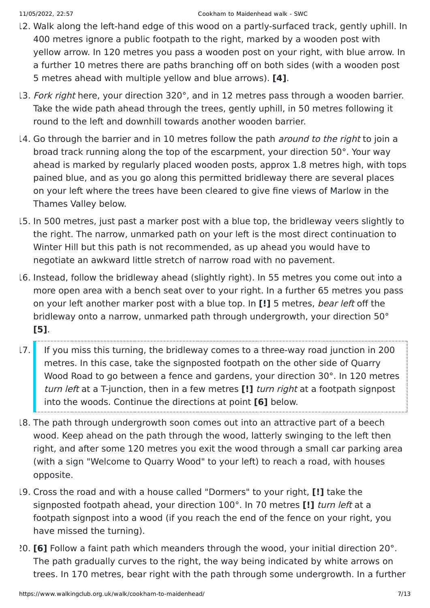- 12. Walk along the left-hand edge of this wood on a partly-surfaced track, gently uphill. In 400 metres ignore a public footpath to the right, marked by a wooden post with yellow arrow. In 120 metres you pass a wooden post on your right, with blue arrow. In a further 10 metres there are paths branching off on both sides (with a wooden post 5 metres ahead with multiple yellow and blue arrows). **[4]**.
- 13. Fork right here, your direction 320°, and in 12 metres pass through a wooden barrier. Take the wide path ahead through the trees, gently uphill, in 50 metres following it round to the left and downhill towards another wooden barrier.
- 14. Go through the barrier and in 10 metres follow the path *around to the right* to join a broad track running along the top of the escarpment, your direction 50°. Your way ahead is marked by regularly placed wooden posts, approx 1.8 metres high, with tops pained blue, and as you go along this permitted bridleway there are several places on your left where the trees have been cleared to give fine views of Marlow in the Thames Valley below.
- 15. In 500 metres, just past a marker post with a blue top, the bridleway veers slightly to the right. The narrow, unmarked path on your left is the most direct continuation to Winter Hill but this path is not recommended, as up ahead you would have to negotiate an awkward little stretch of narrow road with no pavement.
- 16. Instead, follow the bridleway ahead (slightly right). In 55 metres you come out into a more open area with a bench seat over to your right. In a further 65 metres you pass on your left another marker post with a blue top. In **[!]** 5 metres, bear left off the bridleway onto a narrow, unmarked path through undergrowth, your direction 50° **[5]**.
- 17. If you miss this turning, the bridleway comes to a three-way road junction in 200 metres. In this case, take the signposted footpath on the other side of Quarry Wood Road to go between a fence and gardens, your direction 30°. In 120 metres turn left at a T-junction, then in a few metres **[!]** turn right at a footpath signpost into the woods. Continue the directions at point **[6]** below.
- 18. The path through undergrowth soon comes out into an attractive part of a beech wood. Keep ahead on the path through the wood, latterly swinging to the left then right, and after some 120 metres you exit the wood through a small car parking area (with a sign "Welcome to Quarry Wood" to your left) to reach a road, with houses opposite.
- 19. Cross the road and with a house called "Dormers" to your right, **[!]** take the signposted footpath ahead, your direction 100°. In 70 metres **[!]** turn left at a footpath signpost into a wood (if you reach the end of the fence on your right, you have missed the turning).
- 20. **[6]** Follow a faint path which meanders through the wood, your initial direction 20°. The path gradually curves to the right, the way being indicated by white arrows on trees. In 170 metres, bear right with the path through some undergrowth. In a further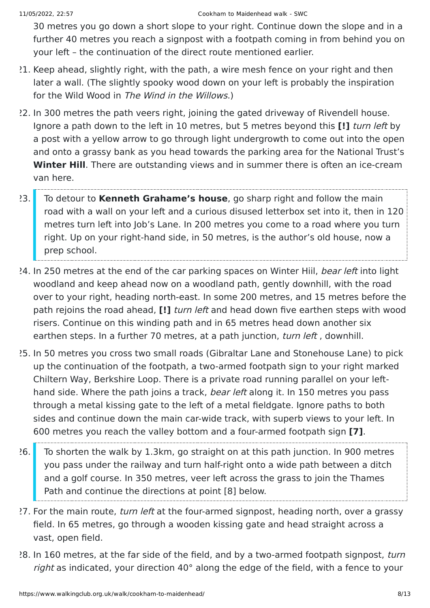30 metres you go down a short slope to your right. Continue down the slope and in a further 40 metres you reach a signpost with a footpath coming in from behind you on your left – the continuation of the direct route mentioned earlier.

- 21. Keep ahead, slightly right, with the path, a wire mesh fence on your right and then later a wall. (The slightly spooky wood down on your left is probably the inspiration for the Wild Wood in The Wind in the Willows.)
- 22. In 300 metres the path veers right, joining the gated driveway of Rivendell house. Ignore a path down to the left in 10 metres, but 5 metres beyond this **[!]** turn left by a post with a yellow arrow to go through light undergrowth to come out into the open and onto a grassy bank as you head towards the parking area for the National Trust's **Winter Hill**. There are outstanding views and in summer there is often an ice-cream van here.
- 23. To detour to **Kenneth Grahame's house**, go sharp right and follow the main road with a wall on your left and a curious disused letterbox set into it, then in 120 metres turn left into Job's Lane. In 200 metres you come to a road where you turn right. Up on your right-hand side, in 50 metres, is the author's old house, now a prep school.
- 24. In 250 metres at the end of the car parking spaces on Winter Hiil, bear left into light woodland and keep ahead now on a woodland path, gently downhill, with the road over to your right, heading north-east. In some 200 metres, and 15 metres before the path rejoins the road ahead, **[!]** turn left and head down five earthen steps with wood risers. Continue on this winding path and in 65 metres head down another six earthen steps. In a further 70 metres, at a path junction, turn left, downhill.
- 25. In 50 metres you cross two small roads (Gibraltar Lane and Stonehouse Lane) to pick up the continuation of the footpath, a two-armed footpath sign to your right marked Chiltern Way, Berkshire Loop. There is a private road running parallel on your lefthand side. Where the path joins a track, *bear left* along it. In 150 metres you pass through a metal kissing gate to the left of a metal fieldgate. Ignore paths to both sides and continue down the main car-wide track, with superb views to your left. In 600 metres you reach the valley bottom and a four-armed footpath sign **[7]**.
- 26. To shorten the walk by 1.3km, go straight on at this path junction. In 900 metres you pass under the railway and turn half-right onto a wide path between a ditch and a golf course. In 350 metres, veer left across the grass to join the Thames Path and continue the directions at point [8] below.
- 27. For the main route, turn left at the four-armed signpost, heading north, over a grassy field. In 65 metres, go through a wooden kissing gate and head straight across a vast, open field.
- 28. In 160 metres, at the far side of the field, and by a two-armed footpath signpost, turn right as indicated, your direction 40° along the edge of the field, with a fence to your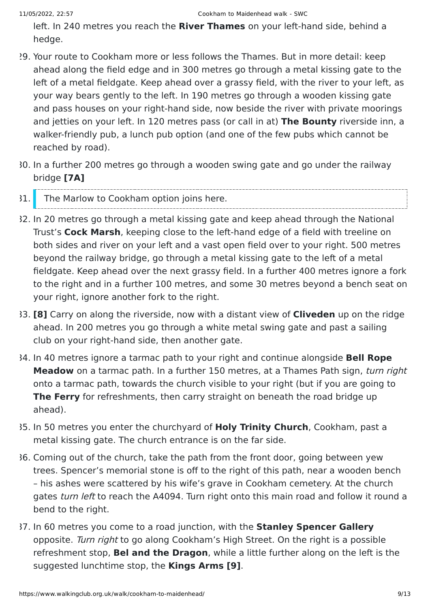left. In 240 metres you reach the **River Thames** on your left-hand side, behind a hedge.

- 29. Your route to Cookham more or less follows the Thames. But in more detail: keep ahead along the field edge and in 300 metres go through a metal kissing gate to the left of a metal fieldgate. Keep ahead over a grassy field, with the river to your left, as your way bears gently to the left. In 190 metres go through a wooden kissing gate and pass houses on your right-hand side, now beside the river with private moorings and jetties on your left. In 120 metres pass (or call in at) **The Bounty** riverside inn, a walker-friendly pub, a lunch pub option (and one of the few pubs which cannot be reached by road).
- 30. In a further 200 metres go through a wooden swing gate and go under the railway bridge **[7A]**
- 31. The Marlow to Cookham option joins here.
- 32. In 20 metres go through a metal kissing gate and keep ahead through the National Trust's **Cock Marsh**, keeping close to the left-hand edge of a field with treeline on both sides and river on your left and a vast open field over to your right. 500 metres beyond the railway bridge, go through a metal kissing gate to the left of a metal fieldgate. Keep ahead over the next grassy field. In a further 400 metres ignore a fork to the right and in a further 100 metres, and some 30 metres beyond a bench seat on your right, ignore another fork to the right.
- 33. **[8]** Carry on along the riverside, now with a distant view of **Cliveden** up on the ridge ahead. In 200 metres you go through a white metal swing gate and past a sailing club on your right-hand side, then another gate.
- 34. In 40 metres ignore a tarmac path to your right and continue alongside **Bell Rope Meadow** on a tarmac path. In a further 150 metres, at a Thames Path sign, turn right onto a tarmac path, towards the church visible to your right (but if you are going to **The Ferry** for refreshments, then carry straight on beneath the road bridge up ahead).
- 35. In 50 metres you enter the churchyard of **Holy Trinity Church**, Cookham, past a metal kissing gate. The church entrance is on the far side.
- 36. Coming out of the church, take the path from the front door, going between yew trees. Spencer's memorial stone is off to the right of this path, near a wooden bench – his ashes were scattered by his wife's grave in Cookham cemetery. At the church gates turn left to reach the A4094. Turn right onto this main road and follow it round a bend to the right.
- 37. In 60 metres you come to a road junction, with the **Stanley Spencer Gallery** opposite. Turn right to go along Cookham's High Street. On the right is a possible refreshment stop, **Bel and the Dragon**, while a little further along on the left is the suggested lunchtime stop, the **Kings Arms [9]**.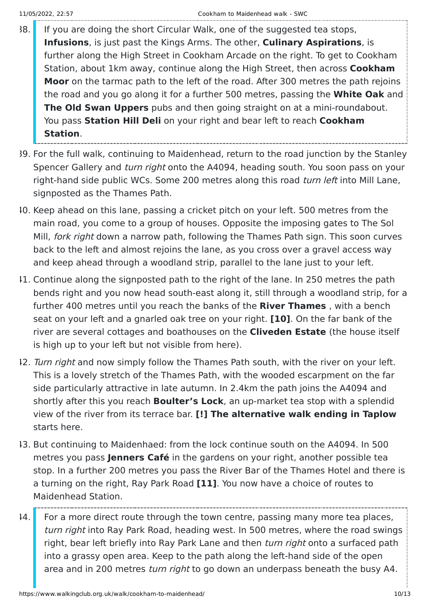- 38. If you are doing the short Circular Walk, one of the suggested tea stops, **Infusions**, is just past the Kings Arms. The other, **Culinary Aspirations**, is further along the High Street in Cookham Arcade on the right. To get to Cookham Station, about 1km away, continue along the High Street, then across **Cookham Moor** on the tarmac path to the left of the road. After 300 metres the path rejoins the road and you go along it for a further 500 metres, passing the **White Oak** and **The Old Swan Uppers** pubs and then going straight on at a mini-roundabout. You pass **Station Hill Deli** on your right and bear left to reach **Cookham Station**.
- 39. For the full walk, continuing to Maidenhead, return to the road junction by the Stanley Spencer Gallery and *turn right* onto the A4094, heading south. You soon pass on your right-hand side public WCs. Some 200 metres along this road turn left into Mill Lane, signposted as the Thames Path.
- 40. Keep ahead on this lane, passing a cricket pitch on your left. 500 metres from the main road, you come to a group of houses. Opposite the imposing gates to The Sol Mill, *fork right* down a narrow path, following the Thames Path sign. This soon curves back to the left and almost rejoins the lane, as you cross over a gravel access way and keep ahead through a woodland strip, parallel to the lane just to your left.
- 41. Continue along the signposted path to the right of the lane. In 250 metres the path bends right and you now head south-east along it, still through a woodland strip, for a further 400 metres until you reach the banks of the **River Thames** , with a bench seat on your left and a gnarled oak tree on your right. **[10]**. On the far bank of the river are several cottages and boathouses on the **Cliveden Estate** (the house itself is high up to your left but not visible from here).
- 12. Turn right and now simply follow the Thames Path south, with the river on your left. This is a lovely stretch of the Thames Path, with the wooded escarpment on the far side particularly attractive in late autumn. In 2.4km the path joins the A4094 and shortly after this you reach **Boulter's Lock**, an up-market tea stop with a splendid view of the river from its terrace bar. **[!] The alternative walk ending in Taplow** starts here.
- 43. But continuing to Maidenhaed: from the lock continue south on the A4094. In 500 metres you pass **Jenners Café** in the gardens on your right, another possible tea stop. In a further 200 metres you pass the River Bar of the Thames Hotel and there is a turning on the right, Ray Park Road **[11]**. You now have a choice of routes to Maidenhead Station.
- $14.$  For a more direct route through the town centre, passing many more tea places, turn right into Ray Park Road, heading west. In 500 metres, where the road swings right, bear left briefly into Ray Park Lane and then turn right onto a surfaced path into a grassy open area. Keep to the path along the left-hand side of the open area and in 200 metres turn right to go down an underpass beneath the busy A4.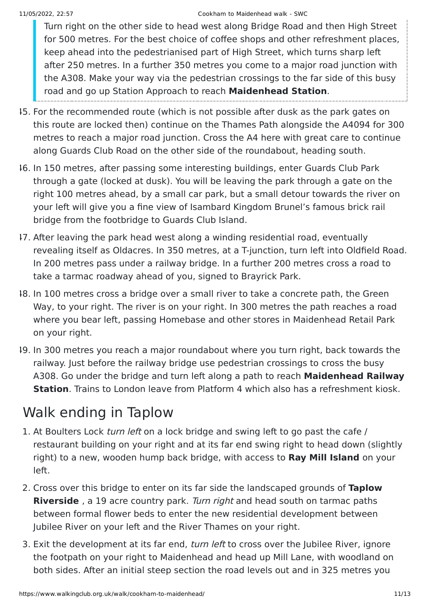#### 11/05/2022, 22:57 Cookham to Maidenhead walk - SWC

Turn right on the other side to head west along Bridge Road and then High Street for 500 metres. For the best choice of coffee shops and other refreshment places, keep ahead into the pedestrianised part of High Street, which turns sharp left after 250 metres. In a further 350 metres you come to a major road junction with the A308. Make your way via the pedestrian crossings to the far side of this busy road and go up Station Approach to reach **Maidenhead Station**.

- 45. For the recommended route (which is not possible after dusk as the park gates on this route are locked then) continue on the Thames Path alongside the A4094 for 300 metres to reach a major road junction. Cross the A4 here with great care to continue along Guards Club Road on the other side of the roundabout, heading south.
- 46. In 150 metres, after passing some interesting buildings, enter Guards Club Park through a gate (locked at dusk). You will be leaving the park through a gate on the right 100 metres ahead, by a small car park, but a small detour towards the river on your left will give you a fine view of Isambard Kingdom Brunel's famous brick rail bridge from the footbridge to Guards Club Island.
- 47. After leaving the park head west along a winding residential road, eventually revealing itself as Oldacres. In 350 metres, at a T-junction, turn left into Oldfield Road. In 200 metres pass under a railway bridge. In a further 200 metres cross a road to take a tarmac roadway ahead of you, signed to Brayrick Park.
- 48. In 100 metres cross a bridge over a small river to take a concrete path, the Green Way, to your right. The river is on your right. In 300 metres the path reaches a road where you bear left, passing Homebase and other stores in Maidenhead Retail Park on your right.
- 49. In 300 metres you reach a major roundabout where you turn right, back towards the railway. Just before the railway bridge use pedestrian crossings to cross the busy A308. Go under the bridge and turn left along a path to reach **Maidenhead Railway Station**. Trains to London leave from Platform 4 which also has a refreshment kiosk.

## Walk ending in Taplow

- 1. At Boulters Lock turn left on a lock bridge and swing left to go past the cafe / restaurant building on your right and at its far end swing right to head down (slightly right) to a new, wooden hump back bridge, with access to **Ray Mill Island** on your left.
- 2. Cross over this bridge to enter on its far side the landscaped grounds of **Taplow Riverside** , a 19 acre country park. Turn right and head south on tarmac paths between formal flower beds to enter the new residential development between Jubilee River on your left and the River Thames on your right.
- 3. Exit the development at its far end, turn left to cross over the Jubilee River, ignore the footpath on your right to Maidenhead and head up Mill Lane, with woodland on both sides. After an initial steep section the road levels out and in 325 metres you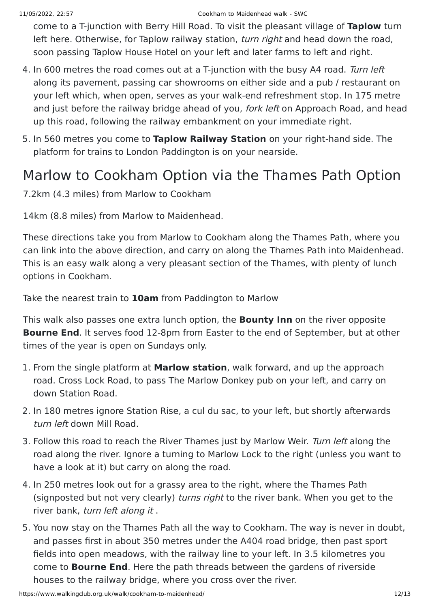come to a T-junction with Berry Hill Road. To visit the pleasant village of **Taplow** turn left here. Otherwise, for Taplow railway station, turn right and head down the road, soon passing Taplow House Hotel on your left and later farms to left and right.

- 4. In 600 metres the road comes out at a T-junction with the busy A4 road. Turn left along its pavement, passing car showrooms on either side and a pub / restaurant on your left which, when open, serves as your walk-end refreshment stop. In 175 metre and just before the railway bridge ahead of you, *fork left* on Approach Road, and head up this road, following the railway embankment on your immediate right.
- 5. In 560 metres you come to **Taplow Railway Station** on your right-hand side. The platform for trains to London Paddington is on your nearside.

### Marlow to Cookham Option via the Thames Path Option

7.2km (4.3 miles) from Marlow to Cookham

14km (8.8 miles) from Marlow to Maidenhead.

These directions take you from Marlow to Cookham along the Thames Path, where you can link into the above direction, and carry on along the Thames Path into Maidenhead. This is an easy walk along a very pleasant section of the Thames, with plenty of lunch options in Cookham.

Take the nearest train to **10am** from Paddington to Marlow

This walk also passes one extra lunch option, the **Bounty Inn** on the river opposite **Bourne End**. It serves food 12-8pm from Easter to the end of September, but at other times of the year is open on Sundays only.

- 1. From the single platform at **Marlow station**, walk forward, and up the approach road. Cross Lock Road, to pass The Marlow Donkey pub on your left, and carry on down Station Road.
- 2. In 180 metres ignore Station Rise, a cul du sac, to your left, but shortly afterwards turn left down Mill Road.
- 3. Follow this road to reach the River Thames just by Marlow Weir. Turn left along the road along the river. Ignore a turning to Marlow Lock to the right (unless you want to have a look at it) but carry on along the road.
- 4. In 250 metres look out for a grassy area to the right, where the Thames Path (signposted but not very clearly) turns right to the river bank. When you get to the river bank, turn left along it .
- 5. You now stay on the Thames Path all the way to Cookham. The way is never in doubt, and passes first in about 350 metres under the A404 road bridge, then past sport fields into open meadows, with the railway line to your left. In 3.5 kilometres you come to **Bourne End**. Here the path threads between the gardens of riverside houses to the railway bridge, where you cross over the river.